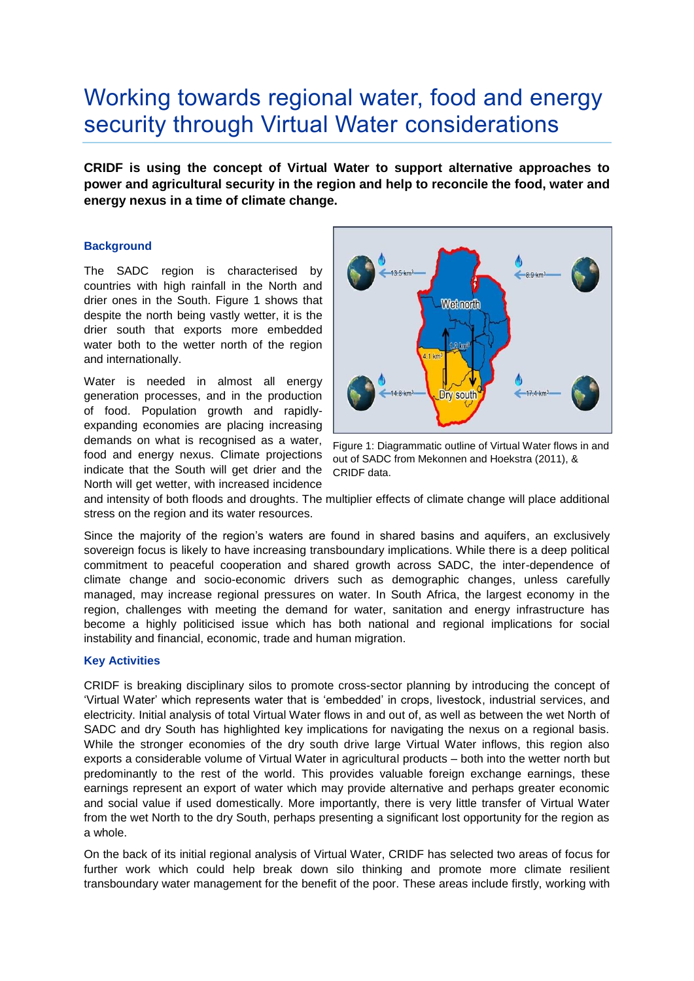# Working towards regional water, food and energy security through Virtual Water considerations

**CRIDF is using the concept of Virtual Water to support alternative approaches to power and agricultural security in the region and help to reconcile the food, water and energy nexus in a time of climate change.**

#### **Background**

The SADC region is characterised by countries with high rainfall in the North and drier ones in the South. Figure 1 shows that despite the north being vastly wetter, it is the drier south that exports more embedded water both to the wetter north of the region and internationally.

Water is needed in almost all energy generation processes, and in the production of food. Population growth and rapidlyexpanding economies are placing increasing demands on what is recognised as a water, food and energy nexus. Climate projections indicate that the South will get drier and the North will get wetter, with increased incidence



Figure 1: Diagrammatic outline of Virtual Water flows in and out of SADC from Mekonnen and Hoekstra (2011), & CRIDF data.

and intensity of both floods and droughts. The multiplier effects of climate change will place additional stress on the region and its water resources.

Since the majority of the region's waters are found in shared basins and aquifers, an exclusively sovereign focus is likely to have increasing transboundary implications. While there is a deep political commitment to peaceful cooperation and shared growth across SADC, the inter-dependence of climate change and socio-economic drivers such as demographic changes, unless carefully managed, may increase regional pressures on water. In South Africa, the largest economy in the region, challenges with meeting the demand for water, sanitation and energy infrastructure has become a highly politicised issue which has both national and regional implications for social instability and financial, economic, trade and human migration.

#### **Key Activities**

CRIDF is breaking disciplinary silos to promote cross-sector planning by introducing the concept of 'Virtual Water' which represents water that is 'embedded' in crops, livestock, industrial services, and electricity. Initial analysis of total Virtual Water flows in and out of, as well as between the wet North of SADC and dry South has highlighted key implications for navigating the nexus on a regional basis. While the stronger economies of the dry south drive large Virtual Water inflows, this region also exports a considerable volume of Virtual Water in agricultural products – both into the wetter north but predominantly to the rest of the world. This provides valuable foreign exchange earnings, these earnings represent an export of water which may provide alternative and perhaps greater economic and social value if used domestically. More importantly, there is very little transfer of Virtual Water from the wet North to the dry South, perhaps presenting a significant lost opportunity for the region as a whole.

On the back of its initial regional analysis of Virtual Water, CRIDF has selected two areas of focus for further work which could help break down silo thinking and promote more climate resilient transboundary water management for the benefit of the poor. These areas include firstly, working with